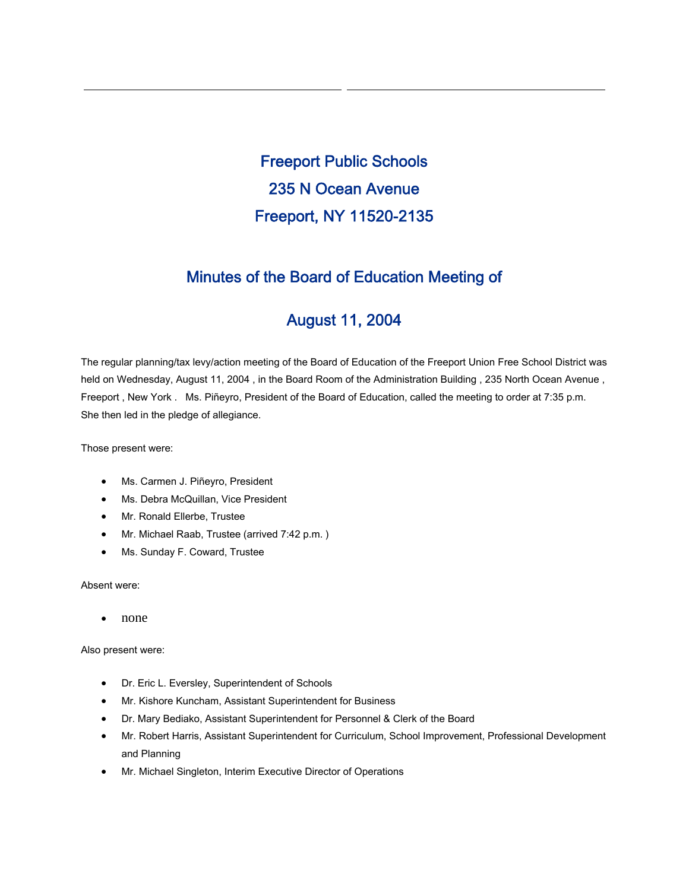Freeport Public Schools 235 N Ocean Avenue Freeport, NY 11520-2135

# Minutes of the Board of Education Meeting of

# August 11, 2004

The regular planning/tax levy/action meeting of the Board of Education of the Freeport Union Free School District was held on Wednesday, August 11, 2004 , in the Board Room of the Administration Building , 235 North Ocean Avenue , Freeport , New York . Ms. Piñeyro, President of the Board of Education, called the meeting to order at 7:35 p.m. She then led in the pledge of allegiance.

Those present were:

- Ms. Carmen J. Piñeyro, President
- Ms. Debra McQuillan, Vice President
- Mr. Ronald Ellerbe, Trustee
- Mr. Michael Raab, Trustee (arrived 7:42 p.m.)
- Ms. Sunday F. Coward, Trustee

# Absent were:

• none

Also present were:

- Dr. Eric L. Eversley, Superintendent of Schools
- Mr. Kishore Kuncham, Assistant Superintendent for Business
- Dr. Mary Bediako, Assistant Superintendent for Personnel & Clerk of the Board
- Mr. Robert Harris, Assistant Superintendent for Curriculum, School Improvement, Professional Development and Planning
- Mr. Michael Singleton, Interim Executive Director of Operations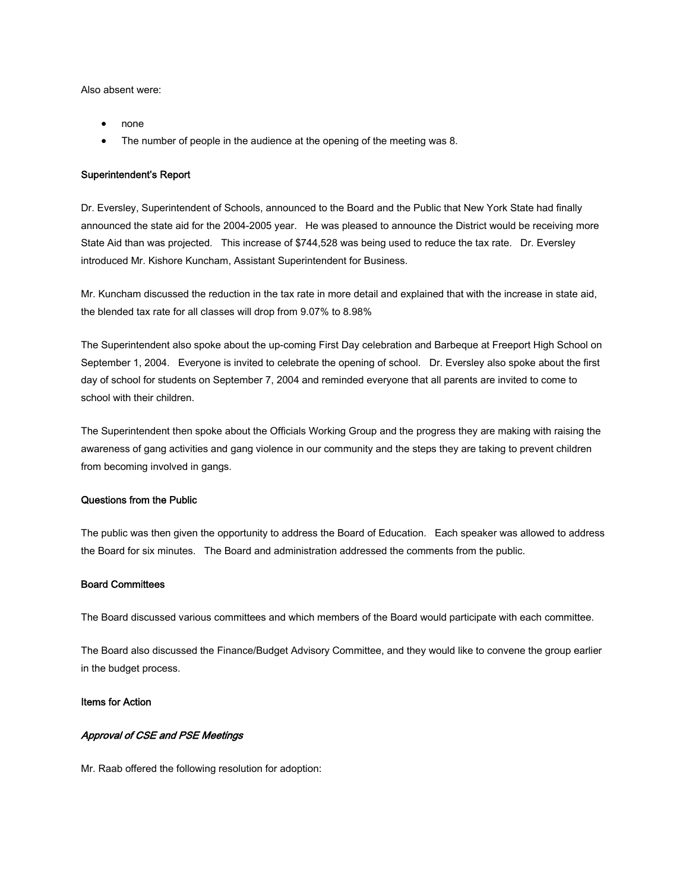Also absent were:

- none
- The number of people in the audience at the opening of the meeting was 8.

#### Superintendent's Report

Dr. Eversley, Superintendent of Schools, announced to the Board and the Public that New York State had finally announced the state aid for the 2004-2005 year. He was pleased to announce the District would be receiving more State Aid than was projected. This increase of \$744,528 was being used to reduce the tax rate. Dr. Eversley introduced Mr. Kishore Kuncham, Assistant Superintendent for Business.

Mr. Kuncham discussed the reduction in the tax rate in more detail and explained that with the increase in state aid, the blended tax rate for all classes will drop from 9.07% to 8.98%

The Superintendent also spoke about the up-coming First Day celebration and Barbeque at Freeport High School on September 1, 2004. Everyone is invited to celebrate the opening of school. Dr. Eversley also spoke about the first day of school for students on September 7, 2004 and reminded everyone that all parents are invited to come to school with their children.

The Superintendent then spoke about the Officials Working Group and the progress they are making with raising the awareness of gang activities and gang violence in our community and the steps they are taking to prevent children from becoming involved in gangs.

# Questions from the Public

The public was then given the opportunity to address the Board of Education. Each speaker was allowed to address the Board for six minutes. The Board and administration addressed the comments from the public.

#### Board Committees

The Board discussed various committees and which members of the Board would participate with each committee.

The Board also discussed the Finance/Budget Advisory Committee, and they would like to convene the group earlier in the budget process.

### Items for Action

## Approval of CSE and PSE Meetings

Mr. Raab offered the following resolution for adoption: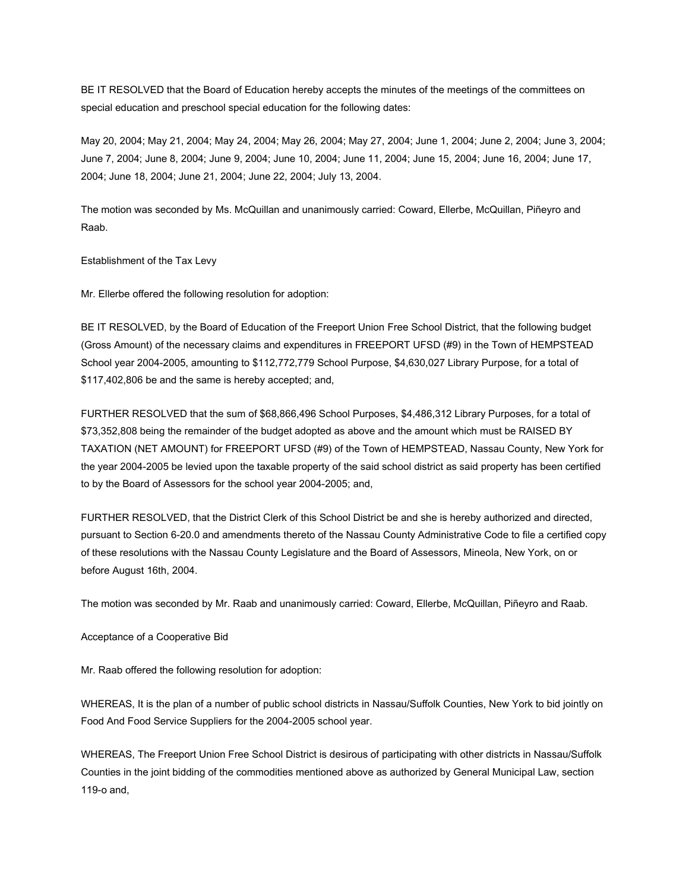BE IT RESOLVED that the Board of Education hereby accepts the minutes of the meetings of the committees on special education and preschool special education for the following dates:

May 20, 2004; May 21, 2004; May 24, 2004; May 26, 2004; May 27, 2004; June 1, 2004; June 2, 2004; June 3, 2004; June 7, 2004; June 8, 2004; June 9, 2004; June 10, 2004; June 11, 2004; June 15, 2004; June 16, 2004; June 17, 2004; June 18, 2004; June 21, 2004; June 22, 2004; July 13, 2004.

The motion was seconded by Ms. McQuillan and unanimously carried: Coward, Ellerbe, McQuillan, Piñeyro and Raab.

Establishment of the Tax Levy

Mr. Ellerbe offered the following resolution for adoption:

BE IT RESOLVED, by the Board of Education of the Freeport Union Free School District, that the following budget (Gross Amount) of the necessary claims and expenditures in FREEPORT UFSD (#9) in the Town of HEMPSTEAD School year 2004-2005, amounting to \$112,772,779 School Purpose, \$4,630,027 Library Purpose, for a total of \$117,402,806 be and the same is hereby accepted; and,

FURTHER RESOLVED that the sum of \$68,866,496 School Purposes, \$4,486,312 Library Purposes, for a total of \$73,352,808 being the remainder of the budget adopted as above and the amount which must be RAISED BY TAXATION (NET AMOUNT) for FREEPORT UFSD (#9) of the Town of HEMPSTEAD, Nassau County, New York for the year 2004-2005 be levied upon the taxable property of the said school district as said property has been certified to by the Board of Assessors for the school year 2004-2005; and,

FURTHER RESOLVED, that the District Clerk of this School District be and she is hereby authorized and directed, pursuant to Section 6-20.0 and amendments thereto of the Nassau County Administrative Code to file a certified copy of these resolutions with the Nassau County Legislature and the Board of Assessors, Mineola, New York, on or before August 16th, 2004.

The motion was seconded by Mr. Raab and unanimously carried: Coward, Ellerbe, McQuillan, Piñeyro and Raab.

Acceptance of a Cooperative Bid

Mr. Raab offered the following resolution for adoption:

WHEREAS, It is the plan of a number of public school districts in Nassau/Suffolk Counties, New York to bid jointly on Food And Food Service Suppliers for the 2004-2005 school year.

WHEREAS, The Freeport Union Free School District is desirous of participating with other districts in Nassau/Suffolk Counties in the joint bidding of the commodities mentioned above as authorized by General Municipal Law, section 119-o and,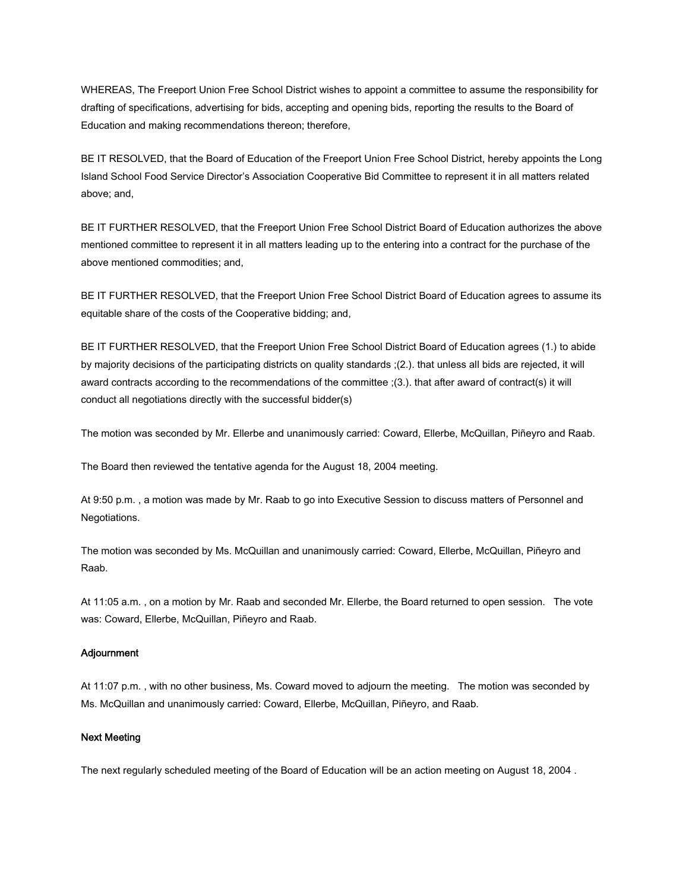WHEREAS, The Freeport Union Free School District wishes to appoint a committee to assume the responsibility for drafting of specifications, advertising for bids, accepting and opening bids, reporting the results to the Board of Education and making recommendations thereon; therefore,

BE IT RESOLVED, that the Board of Education of the Freeport Union Free School District, hereby appoints the Long Island School Food Service Director's Association Cooperative Bid Committee to represent it in all matters related above; and,

BE IT FURTHER RESOLVED, that the Freeport Union Free School District Board of Education authorizes the above mentioned committee to represent it in all matters leading up to the entering into a contract for the purchase of the above mentioned commodities; and,

BE IT FURTHER RESOLVED, that the Freeport Union Free School District Board of Education agrees to assume its equitable share of the costs of the Cooperative bidding; and,

BE IT FURTHER RESOLVED, that the Freeport Union Free School District Board of Education agrees (1.) to abide by majority decisions of the participating districts on quality standards ;(2.). that unless all bids are rejected, it will award contracts according to the recommendations of the committee ;(3.). that after award of contract(s) it will conduct all negotiations directly with the successful bidder(s)

The motion was seconded by Mr. Ellerbe and unanimously carried: Coward, Ellerbe, McQuillan, Piñeyro and Raab.

The Board then reviewed the tentative agenda for the August 18, 2004 meeting.

At 9:50 p.m. , a motion was made by Mr. Raab to go into Executive Session to discuss matters of Personnel and Negotiations.

The motion was seconded by Ms. McQuillan and unanimously carried: Coward, Ellerbe, McQuillan, Piñeyro and Raab.

At 11:05 a.m. , on a motion by Mr. Raab and seconded Mr. Ellerbe, the Board returned to open session. The vote was: Coward, Ellerbe, McQuillan, Piñeyro and Raab.

#### Adjournment

At 11:07 p.m. , with no other business, Ms. Coward moved to adjourn the meeting. The motion was seconded by Ms. McQuillan and unanimously carried: Coward, Ellerbe, McQuillan, Piñeyro, and Raab.

### Next Meeting

The next regularly scheduled meeting of the Board of Education will be an action meeting on August 18, 2004 .